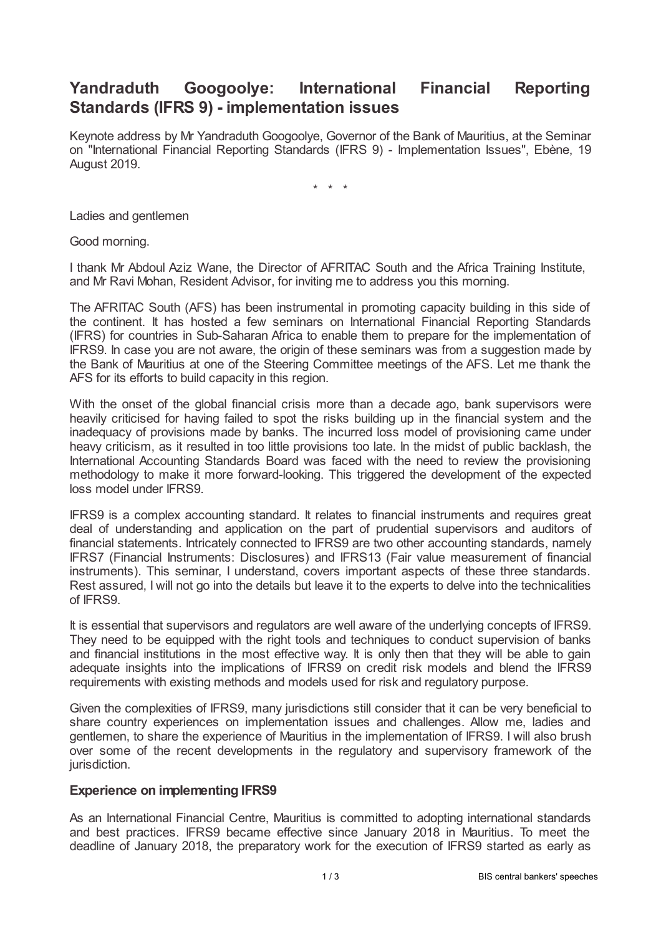# **Yandraduth Googoolye: International Financial Reporting Standards (IFRS 9) - implementation issues**

Keynote address by Mr Yandraduth Googoolye, Governor of the Bank of Mauritius, at the Seminar on "International Financial Reporting Standards (IFRS 9) - Implementation Issues", Ebène, 19 August 2019.

\* \* \*

Ladies and gentlemen

Good morning.

I thank Mr Abdoul Aziz Wane, the Director of AFRITAC South and the Africa Training Institute, and Mr Ravi Mohan, Resident Advisor, for inviting me to address you this morning.

The AFRITAC South (AFS) has been instrumental in promoting capacity building in this side of the continent. It has hosted a few seminars on International Financial Reporting Standards (IFRS) for countries in Sub-Saharan Africa to enable them to prepare for the implementation of IFRS9. In case you are not aware, the origin of these seminars was from a suggestion made by the Bank of Mauritius at one of the Steering Committee meetings of the AFS. Let me thank the AFS for its efforts to build capacity in this region.

With the onset of the global financial crisis more than a decade ago, bank supervisors were heavily criticised for having failed to spot the risks building up in the financial system and the inadequacy of provisions made by banks. The incurred loss model of provisioning came under heavy criticism, as it resulted in too little provisions too late. In the midst of public backlash, the International Accounting Standards Board was faced with the need to review the provisioning methodology to make it more forward-looking. This triggered the development of the expected loss model under IFRS9.

IFRS9 is a complex accounting standard. It relates to financial instruments and requires great deal of understanding and application on the part of prudential supervisors and auditors of financial statements. Intricately connected to IFRS9 are two other accounting standards, namely IFRS7 (Financial Instruments: Disclosures) and IFRS13 (Fair value measurement of financial instruments). This seminar, I understand, covers important aspects of these three standards. Rest assured, I will not go into the details but leave it to the experts to delve into the technicalities of IFRS9.

It is essential that supervisors and regulators are well aware of the underlying concepts of IFRS9. They need to be equipped with the right tools and techniques to conduct supervision of banks and financial institutions in the most effective way. It is only then that they will be able to gain adequate insights into the implications of IFRS9 on credit risk models and blend the IFRS9 requirements with existing methods and models used for risk and regulatory purpose.

Given the complexities of IFRS9, many jurisdictions still consider that it can be very beneficial to share country experiences on implementation issues and challenges. Allow me, ladies and gentlemen, to share the experience of Mauritius in the implementation of IFRS9. I will also brush over some of the recent developments in the regulatory and supervisory framework of the jurisdiction.

## **Experience on implementing IFRS9**

As an International Financial Centre, Mauritius is committed to adopting international standards and best practices. IFRS9 became effective since January 2018 in Mauritius. To meet the deadline of January 2018, the preparatory work for the execution of IFRS9 started as early as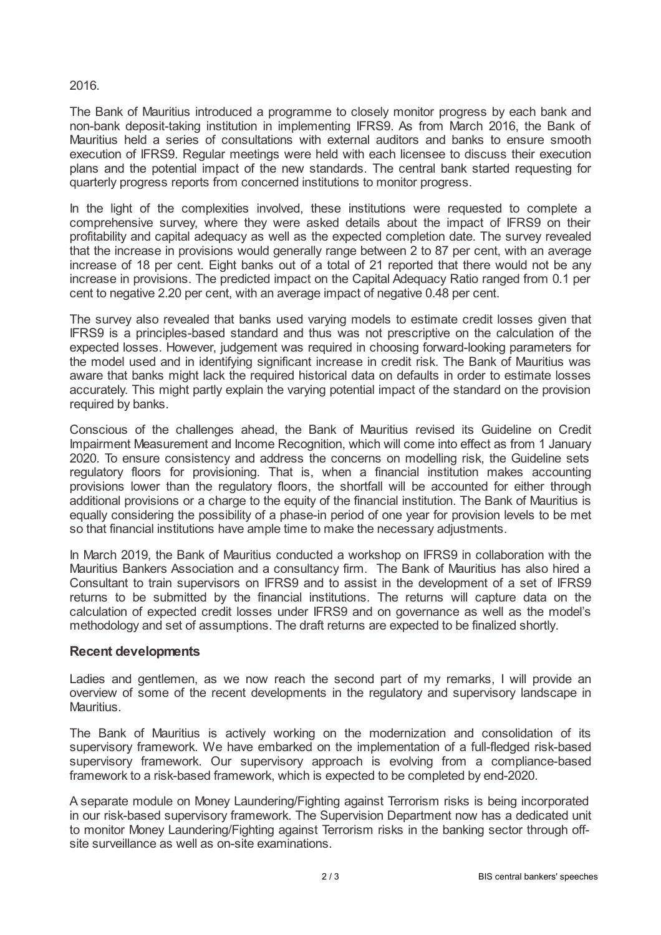## 2016.

The Bank of Mauritius introduced a programme to closely monitor progress by each bank and non-bank deposit-taking institution in implementing IFRS9. As from March 2016, the Bank of Mauritius held a series of consultations with external auditors and banks to ensure smooth execution of IFRS9. Regular meetings were held with each licensee to discuss their execution plans and the potential impact of the new standards. The central bank started requesting for quarterly progress reports from concerned institutions to monitor progress.

In the light of the complexities involved, these institutions were requested to complete a comprehensive survey, where they were asked details about the impact of IFRS9 on their profitability and capital adequacy as well as the expected completion date. The survey revealed that the increase in provisions would generally range between 2 to 87 per cent, with an average increase of 18 per cent. Eight banks out of a total of 21 reported that there would not be any increase in provisions. The predicted impact on the Capital Adequacy Ratio ranged from 0.1 per cent to negative 2.20 per cent, with an average impact of negative 0.48 per cent.

The survey also revealed that banks used varying models to estimate credit losses given that IFRS9 is a principles-based standard and thus was not prescriptive on the calculation of the expected losses. However, judgement was required in choosing forward-looking parameters for the model used and in identifying significant increase in credit risk. The Bank of Mauritius was aware that banks might lack the required historical data on defaults in order to estimate losses accurately. This might partly explain the varying potential impact of the standard on the provision required by banks.

Conscious of the challenges ahead, the Bank of Mauritius revised its Guideline on Credit Impairment Measurement and Income Recognition, which will come into effect as from 1 January 2020. To ensure consistency and address the concerns on modelling risk, the Guideline sets regulatory floors for provisioning. That is, when a financial institution makes accounting provisions lower than the regulatory floors, the shortfall will be accounted for either through additional provisions or a charge to the equity of the financial institution. The Bank of Mauritius is equally considering the possibility of a phase-in period of one year for provision levels to be met so that financial institutions have ample time to make the necessary adjustments.

In March 2019, the Bank of Mauritius conducted a workshop on IFRS9 in collaboration with the Mauritius Bankers Association and a consultancy firm. The Bank of Mauritius has also hired a Consultant to train supervisors on IFRS9 and to assist in the development of a set of IFRS9 returns to be submitted by the financial institutions. The returns will capture data on the calculation of expected credit losses under IFRS9 and on governance as well as the model's methodology and set of assumptions. The draft returns are expected to be finalized shortly.

## **Recent developments**

Ladies and gentlemen, as we now reach the second part of my remarks, I will provide an overview of some of the recent developments in the regulatory and supervisory landscape in Mauritius.

The Bank of Mauritius is actively working on the modernization and consolidation of its supervisory framework. We have embarked on the implementation of a full-fledged risk-based supervisory framework. Our supervisory approach is evolving from a compliance-based framework to a risk-based framework, which is expected to be completed by end-2020.

A separate module on Money Laundering/Fighting against Terrorism risks is being incorporated in our risk-based supervisory framework. The Supervision Department now has a dedicated unit to monitor Money Laundering/Fighting against Terrorism risks in the banking sector through offsite surveillance as well as on-site examinations.